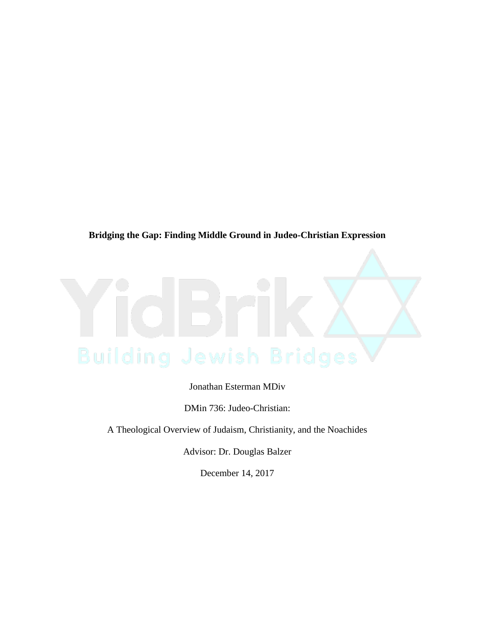# **Bridging the Gap: Finding Middle Ground in Judeo-Christian Expression**

Jonathan Esterman MDiv

DMin 736: Judeo-Christian:

A Theological Overview of Judaism, Christianity, and the Noachides

Advisor: Dr. Douglas Balzer

December 14, 2017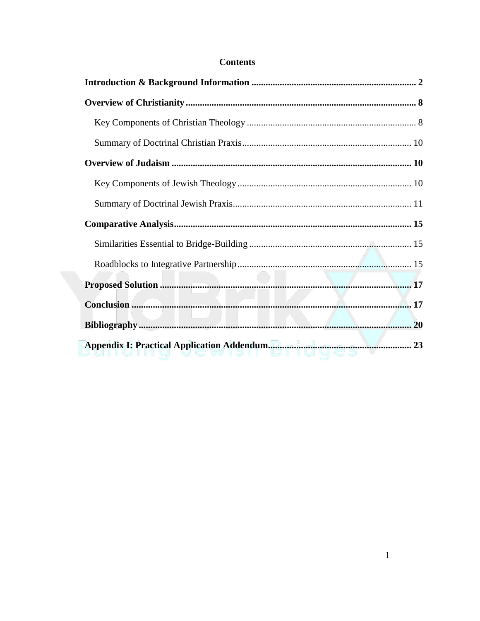# **Contents**

| 23 |
|----|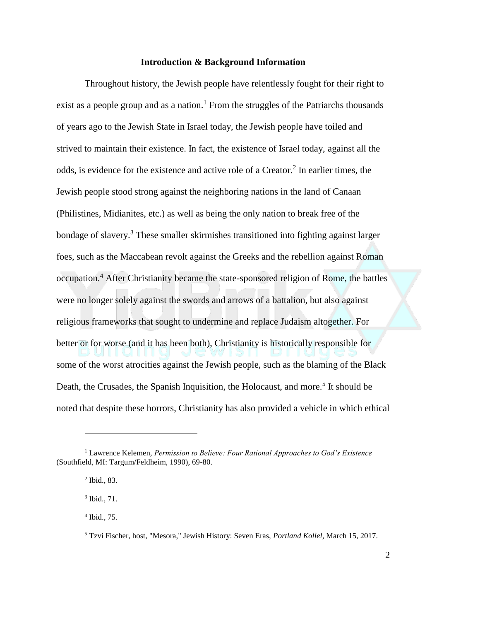### **Introduction & Background Information**

Throughout history, the Jewish people have relentlessly fought for their right to exist as a people group and as a nation.<sup>1</sup> From the struggles of the Patriarchs thousands of years ago to the Jewish State in Israel today, the Jewish people have toiled and strived to maintain their existence. In fact, the existence of Israel today, against all the odds, is evidence for the existence and active role of a Creator.<sup>2</sup> In earlier times, the Jewish people stood strong against the neighboring nations in the land of Canaan (Philistines, Midianites, etc.) as well as being the only nation to break free of the bondage of slavery.<sup>3</sup> These smaller skirmishes transitioned into fighting against larger foes, such as the Maccabean revolt against the Greeks and the rebellion against Roman occupation.<sup>4</sup> After Christianity became the state-sponsored religion of Rome, the battles were no longer solely against the swords and arrows of a battalion, but also against religious frameworks that sought to undermine and replace Judaism altogether. For better or for worse (and it has been both), Christianity is historically responsible for some of the worst atrocities against the Jewish people, such as the blaming of the Black Death, the Crusades, the Spanish Inquisition, the Holocaust, and more.<sup>5</sup> It should be noted that despite these horrors, Christianity has also provided a vehicle in which ethical

<sup>1</sup> Lawrence Kelemen, *Permission to Believe: Four Rational Approaches to God's Existence* (Southfield, MI: Targum/Feldheim, 1990), 69-80.

<sup>2</sup> Ibid., 83.

 $3$  Ibid., 71.

<sup>4</sup> Ibid., 75.

<sup>5</sup> Tzvi Fischer, host, "Mesora," Jewish History: Seven Eras, *Portland Kollel*, March 15, 2017.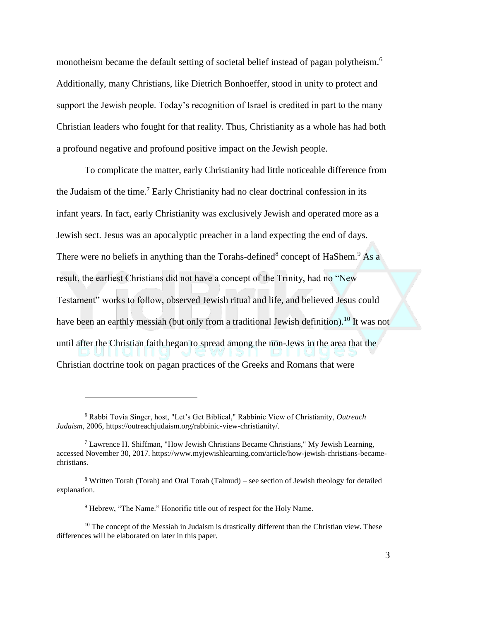monotheism became the default setting of societal belief instead of pagan polytheism.<sup>6</sup> Additionally, many Christians, like Dietrich Bonhoeffer, stood in unity to protect and support the Jewish people. Today's recognition of Israel is credited in part to the many Christian leaders who fought for that reality. Thus, Christianity as a whole has had both a profound negative and profound positive impact on the Jewish people.

To complicate the matter, early Christianity had little noticeable difference from the Judaism of the time.<sup>7</sup> Early Christianity had no clear doctrinal confession in its infant years. In fact, early Christianity was exclusively Jewish and operated more as a Jewish sect. Jesus was an apocalyptic preacher in a land expecting the end of days. There were no beliefs in anything than the Torahs-defined<sup>8</sup> concept of HaShem.<sup>9</sup> As a result, the earliest Christians did not have a concept of the Trinity, had no "New Testament" works to follow, observed Jewish ritual and life, and believed Jesus could have been an earthly messiah (but only from a traditional Jewish definition).<sup>10</sup> It was not until after the Christian faith began to spread among the non-Jews in the area that the Christian doctrine took on pagan practices of the Greeks and Romans that were

<sup>6</sup> Rabbi Tovia Singer, host, "Let's Get Biblical," Rabbinic View of Christianity, *Outreach Judaism*, 2006, https://outreachjudaism.org/rabbinic-view-christianity/.

<sup>7</sup> Lawrence H. Shiffman, "How Jewish Christians Became Christians," My Jewish Learning, accessed November 30, 2017. https://www.myjewishlearning.com/article/how-jewish-christians-becamechristians.

<sup>8</sup> Written Torah (Torah) and Oral Torah (Talmud) – see section of Jewish theology for detailed explanation.

<sup>&</sup>lt;sup>9</sup> Hebrew, "The Name." Honorific title out of respect for the Holy Name.

<sup>&</sup>lt;sup>10</sup> The concept of the Messiah in Judaism is drastically different than the Christian view. These differences will be elaborated on later in this paper.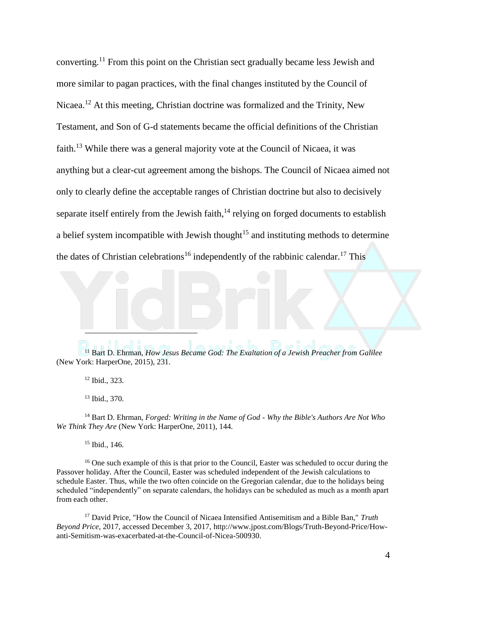converting.<sup>11</sup> From this point on the Christian sect gradually became less Jewish and more similar to pagan practices, with the final changes instituted by the Council of Nicaea.<sup>12</sup> At this meeting, Christian doctrine was formalized and the Trinity, New Testament, and Son of G-d statements became the official definitions of the Christian faith.<sup>13</sup> While there was a general majority vote at the Council of Nicaea, it was anything but a clear-cut agreement among the bishops. The Council of Nicaea aimed not only to clearly define the acceptable ranges of Christian doctrine but also to decisively separate itself entirely from the Jewish faith, $14$  relying on forged documents to establish a belief system incompatible with Jewish thought<sup>15</sup> and instituting methods to determine the dates of Christian celebrations<sup>16</sup> independently of the rabbinic calendar.<sup>17</sup> This

<sup>11</sup> Bart D. Ehrman, *How Jesus Became God: The Exaltation of a Jewish Preacher from Galilee* (New York: HarperOne, 2015), 231.

<sup>12</sup> Ibid., 323.

 $\overline{a}$ 

<sup>13</sup> Ibid., 370.

<sup>14</sup> Bart D. Ehrman, *Forged: Writing in the Name of God - Why the Bible's Authors Are Not Who We Think They Are* (New York: HarperOne, 2011), 144.

<sup>15</sup> Ibid., 146.

<sup>16</sup> One such example of this is that prior to the Council. Easter was scheduled to occur during the Passover holiday. After the Council, Easter was scheduled independent of the Jewish calculations to schedule Easter. Thus, while the two often coincide on the Gregorian calendar, due to the holidays being scheduled "independently" on separate calendars, the holidays can be scheduled as much as a month apart from each other.

<sup>17</sup> David Price, "How the Council of Nicaea Intensified Antisemitism and a Bible Ban," *Truth Beyond Price*, 2017, accessed December 3, 2017, http://www.jpost.com/Blogs/Truth-Beyond-Price/Howanti-Semitism-was-exacerbated-at-the-Council-of-Nicea-500930.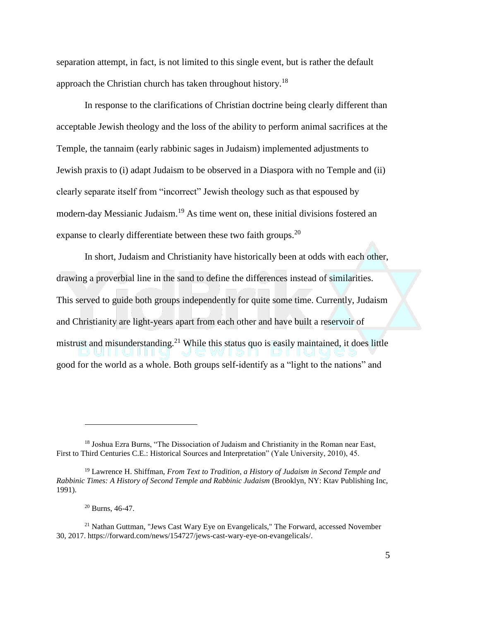separation attempt, in fact, is not limited to this single event, but is rather the default approach the Christian church has taken throughout history.<sup>18</sup>

In response to the clarifications of Christian doctrine being clearly different than acceptable Jewish theology and the loss of the ability to perform animal sacrifices at the Temple, the tannaim (early rabbinic sages in Judaism) implemented adjustments to Jewish praxis to (i) adapt Judaism to be observed in a Diaspora with no Temple and (ii) clearly separate itself from "incorrect" Jewish theology such as that espoused by modern-day Messianic Judaism.<sup>19</sup> As time went on, these initial divisions fostered an expanse to clearly differentiate between these two faith groups.<sup>20</sup>

In short, Judaism and Christianity have historically been at odds with each other, drawing a proverbial line in the sand to define the differences instead of similarities. This served to guide both groups independently for quite some time. Currently, Judaism and Christianity are light-years apart from each other and have built a reservoir of mistrust and misunderstanding.<sup>21</sup> While this status quo is easily maintained, it does little good for the world as a whole. Both groups self-identify as a "light to the nations" and

<sup>&</sup>lt;sup>18</sup> Joshua Ezra Burns, "The Dissociation of Judaism and Christianity in the Roman near East, First to Third Centuries C.E.: Historical Sources and Interpretation" (Yale University, 2010), 45.

<sup>19</sup> Lawrence H. Shiffman, *From Text to Tradition, a History of Judaism in Second Temple and Rabbinic Times: A History of Second Temple and Rabbinic Judaism* (Brooklyn, NY: Ktav Publishing Inc, 1991).

 $20$  Burns, 46-47.

<sup>&</sup>lt;sup>21</sup> Nathan Guttman, "Jews Cast Wary Eye on Evangelicals," The Forward, accessed November 30, 2017. https://forward.com/news/154727/jews-cast-wary-eye-on-evangelicals/.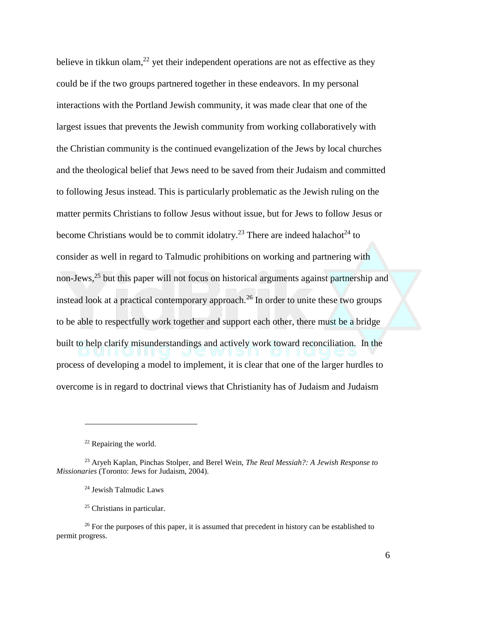believe in tikkun olam,<sup>22</sup> yet their independent operations are not as effective as they could be if the two groups partnered together in these endeavors. In my personal interactions with the Portland Jewish community, it was made clear that one of the largest issues that prevents the Jewish community from working collaboratively with the Christian community is the continued evangelization of the Jews by local churches and the theological belief that Jews need to be saved from their Judaism and committed to following Jesus instead. This is particularly problematic as the Jewish ruling on the matter permits Christians to follow Jesus without issue, but for Jews to follow Jesus or become Christians would be to commit idolatry.<sup>23</sup> There are indeed halachot<sup>24</sup> to consider as well in regard to Talmudic prohibitions on working and partnering with non-Jews, <sup>25</sup> but this paper will not focus on historical arguments against partnership and instead look at a practical contemporary approach.<sup>26</sup> In order to unite these two groups to be able to respectfully work together and support each other, there must be a bridge built to help clarify misunderstandings and actively work toward reconciliation. In the process of developing a model to implement, it is clear that one of the larger hurdles to overcome is in regard to doctrinal views that Christianity has of Judaism and Judaism

<sup>&</sup>lt;sup>22</sup> Repairing the world.

<sup>23</sup> Aryeh Kaplan, Pinchas Stolper, and Berel Wein, *The Real Messiah?: A Jewish Response to Missionaries* (Toronto: Jews for Judaism, 2004).

<sup>24</sup> Jewish Talmudic Laws

<sup>25</sup> Christians in particular.

<sup>&</sup>lt;sup>26</sup> For the purposes of this paper, it is assumed that precedent in history can be established to permit progress.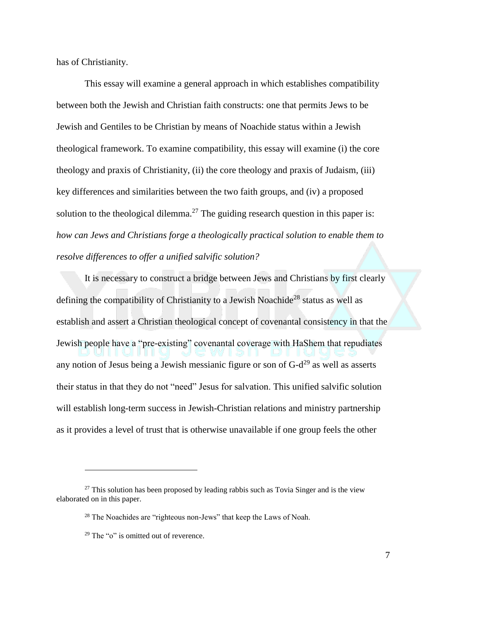has of Christianity.

This essay will examine a general approach in which establishes compatibility between both the Jewish and Christian faith constructs: one that permits Jews to be Jewish and Gentiles to be Christian by means of Noachide status within a Jewish theological framework. To examine compatibility, this essay will examine (i) the core theology and praxis of Christianity, (ii) the core theology and praxis of Judaism, (iii) key differences and similarities between the two faith groups, and (iv) a proposed solution to the theological dilemma.<sup>27</sup> The guiding research question in this paper is: *how can Jews and Christians forge a theologically practical solution to enable them to resolve differences to offer a unified salvific solution?* 

It is necessary to construct a bridge between Jews and Christians by first clearly defining the compatibility of Christianity to a Jewish Noachide<sup>28</sup> status as well as establish and assert a Christian theological concept of covenantal consistency in that the Jewish people have a "pre-existing" covenantal coverage with HaShem that repudiates any notion of Jesus being a Jewish messianic figure or son of  $G-d^{29}$  as well as asserts their status in that they do not "need" Jesus for salvation. This unified salvific solution will establish long-term success in Jewish-Christian relations and ministry partnership as it provides a level of trust that is otherwise unavailable if one group feels the other

 $27$  This solution has been proposed by leading rabbis such as Tovia Singer and is the view elaborated on in this paper.

<sup>&</sup>lt;sup>28</sup> The Noachides are "righteous non-Jews" that keep the Laws of Noah.

 $29$  The "o" is omitted out of reverence.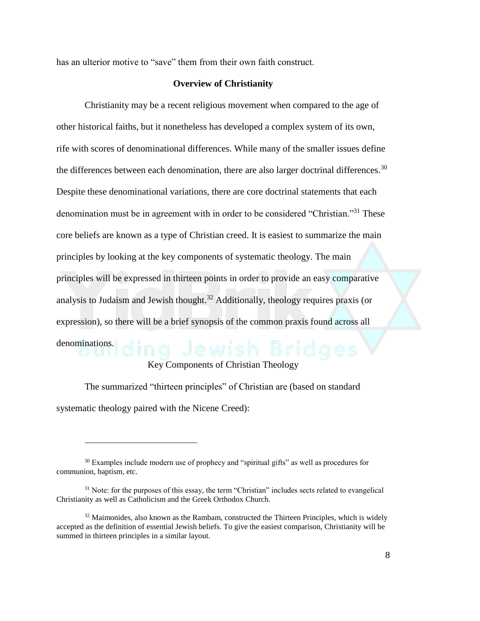has an ulterior motive to "save" them from their own faith construct.

### **Overview of Christianity**

Christianity may be a recent religious movement when compared to the age of other historical faiths, but it nonetheless has developed a complex system of its own, rife with scores of denominational differences. While many of the smaller issues define the differences between each denomination, there are also larger doctrinal differences.<sup>30</sup> Despite these denominational variations, there are core doctrinal statements that each denomination must be in agreement with in order to be considered "Christian."<sup>31</sup> These core beliefs are known as a type of Christian creed. It is easiest to summarize the main principles by looking at the key components of systematic theology. The main principles will be expressed in thirteen points in order to provide an easy comparative analysis to Judaism and Jewish thought.<sup>32</sup> Additionally, theology requires praxis (or expression), so there will be a brief synopsis of the common praxis found across all denominations.

### Key Components of Christian Theology

The summarized "thirteen principles" of Christian are (based on standard systematic theology paired with the Nicene Creed):

<sup>&</sup>lt;sup>30</sup> Examples include modern use of prophecy and "spiritual gifts" as well as procedures for communion, baptism, etc.

<sup>&</sup>lt;sup>31</sup> Note: for the purposes of this essay, the term "Christian" includes sects related to evangelical Christianity as well as Catholicism and the Greek Orthodox Church.

 $32$  Maimonides, also known as the Rambam, constructed the Thirteen Principles, which is widely accepted as the definition of essential Jewish beliefs. To give the easiest comparison, Christianity will be summed in thirteen principles in a similar layout.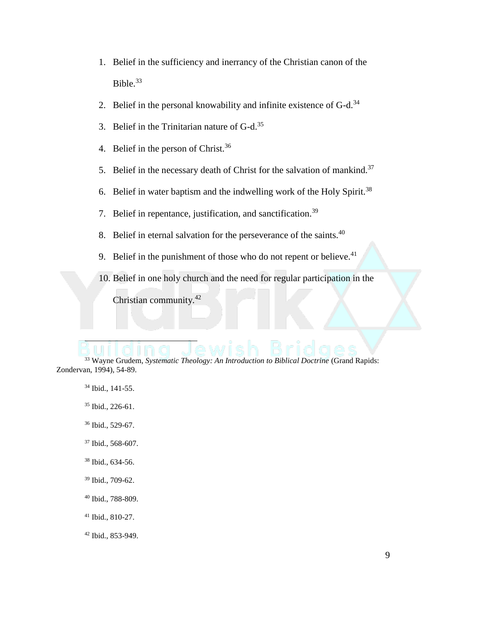- 1. Belief in the sufficiency and inerrancy of the Christian canon of the Bible. $33$
- 2. Belief in the personal knowability and infinite existence of  $G-d.<sup>34</sup>$
- 3. Belief in the Trinitarian nature of G-d.<sup>35</sup>
- 4. Belief in the person of Christ.<sup>36</sup>
- 5. Belief in the necessary death of Christ for the salvation of mankind.<sup>37</sup>
- 6. Belief in water baptism and the indwelling work of the Holy Spirit.<sup>38</sup>
- 7. Belief in repentance, justification, and sanctification.<sup>39</sup>
- 8. Belief in eternal salvation for the perseverance of the saints.<sup>40</sup>
- 9. Belief in the punishment of those who do not repent or believe.  $41$
- 10. Belief in one holy church and the need for regular participation in the

Christian community.<sup>42</sup>

<sup>33</sup> Wayne Grudem, *Systematic Theology: An Introduction to Biblical Doctrine* (Grand Rapids: Zondervan, 1994), 54-89.

<sup>34</sup> Ibid., 141-55.

 $\overline{\phantom{a}}$ 

- <sup>35</sup> Ibid., 226-61.
- <sup>36</sup> Ibid., 529-67.
- <sup>37</sup> Ibid., 568-607.
- <sup>38</sup> Ibid., 634-56.
- <sup>39</sup> Ibid., 709-62.
- <sup>40</sup> Ibid., 788-809.
- <sup>41</sup> Ibid., 810-27.
- <sup>42</sup> Ibid., 853-949.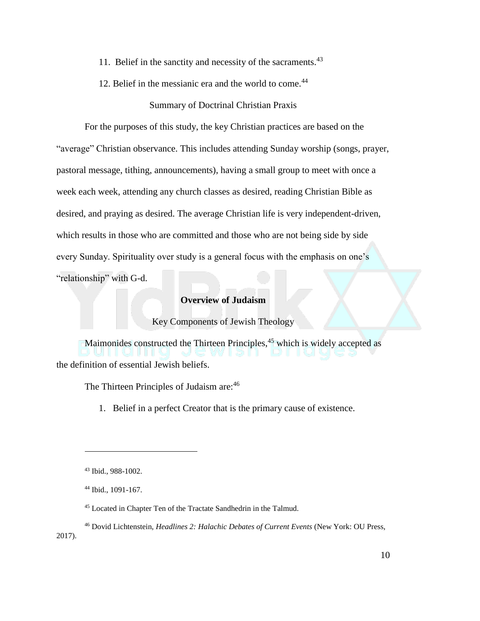- 11. Belief in the sanctity and necessity of the sacraments.<sup>43</sup>
- 12. Belief in the messianic era and the world to come.<sup>44</sup>

## Summary of Doctrinal Christian Praxis

For the purposes of this study, the key Christian practices are based on the "average" Christian observance. This includes attending Sunday worship (songs, prayer, pastoral message, tithing, announcements), having a small group to meet with once a week each week, attending any church classes as desired, reading Christian Bible as desired, and praying as desired. The average Christian life is very independent-driven, which results in those who are committed and those who are not being side by side every Sunday. Spirituality over study is a general focus with the emphasis on one's "relationship" with G-d.

## **Overview of Judaism**

Key Components of Jewish Theology

Maimonides constructed the Thirteen Principles,<sup>45</sup> which is widely accepted as the definition of essential Jewish beliefs.

The Thirteen Principles of Judaism are: 46

1. Belief in a perfect Creator that is the primary cause of existence.

<sup>43</sup> Ibid., 988-1002.

<sup>44</sup> Ibid., 1091-167.

<sup>45</sup> Located in Chapter Ten of the Tractate Sandhedrin in the Talmud.

<sup>46</sup> Dovid Lichtenstein, *Headlines 2: Halachic Debates of Current Events* (New York: OU Press, 2017).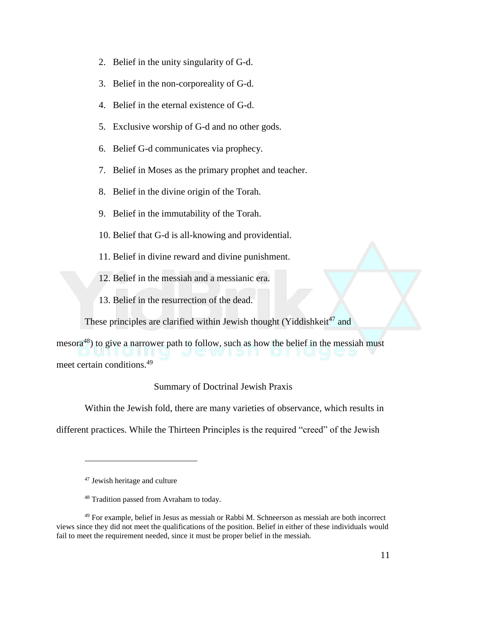- 2. Belief in the unity singularity of G-d.
- 3. Belief in the non-corporeality of G-d.
- 4. Belief in the eternal existence of G-d.
- 5. Exclusive worship of G-d and no other gods.
- 6. Belief G-d communicates via prophecy.
- 7. Belief in Moses as the primary prophet and teacher.
- 8. Belief in the divine origin of the Torah.
- 9. Belief in the immutability of the Torah.
- 10. Belief that G-d is all-knowing and providential.
- 11. Belief in divine reward and divine punishment.
- 12. Belief in the messiah and a messianic era.
- 13. Belief in the resurrection of the dead.

These principles are clarified within Jewish thought (Yiddishkeit $47$  and

mesora<sup>48</sup>) to give a narrower path to follow, such as how the belief in the messiah must meet certain conditions.<sup>49</sup>

Summary of Doctrinal Jewish Praxis

Within the Jewish fold, there are many varieties of observance, which results in

different practices. While the Thirteen Principles is the required "creed" of the Jewish

<sup>47</sup> Jewish heritage and culture

<sup>48</sup> Tradition passed from Avraham to today.

<sup>49</sup> For example, belief in Jesus as messiah or Rabbi M. Schneerson as messiah are both incorrect views since they did not meet the qualifications of the position. Belief in either of these individuals would fail to meet the requirement needed, since it must be proper belief in the messiah.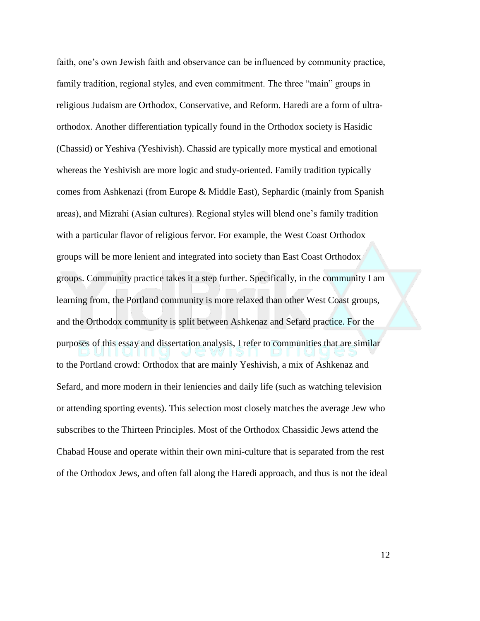faith, one's own Jewish faith and observance can be influenced by community practice, family tradition, regional styles, and even commitment. The three "main" groups in religious Judaism are Orthodox, Conservative, and Reform. Haredi are a form of ultraorthodox. Another differentiation typically found in the Orthodox society is Hasidic (Chassid) or Yeshiva (Yeshivish). Chassid are typically more mystical and emotional whereas the Yeshivish are more logic and study-oriented. Family tradition typically comes from Ashkenazi (from Europe & Middle East), Sephardic (mainly from Spanish areas), and Mizrahi (Asian cultures). Regional styles will blend one's family tradition with a particular flavor of religious fervor. For example, the West Coast Orthodox groups will be more lenient and integrated into society than East Coast Orthodox groups. Community practice takes it a step further. Specifically, in the community I am learning from, the Portland community is more relaxed than other West Coast groups, and the Orthodox community is split between Ashkenaz and Sefard practice. For the purposes of this essay and dissertation analysis, I refer to communities that are similar to the Portland crowd: Orthodox that are mainly Yeshivish, a mix of Ashkenaz and Sefard, and more modern in their leniencies and daily life (such as watching television or attending sporting events). This selection most closely matches the average Jew who subscribes to the Thirteen Principles. Most of the Orthodox Chassidic Jews attend the Chabad House and operate within their own mini-culture that is separated from the rest of the Orthodox Jews, and often fall along the Haredi approach, and thus is not the ideal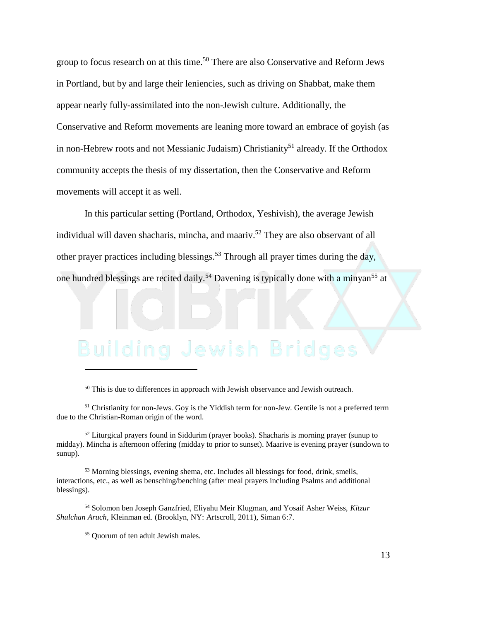group to focus research on at this time.<sup>50</sup> There are also Conservative and Reform Jews in Portland, but by and large their leniencies, such as driving on Shabbat, make them appear nearly fully-assimilated into the non-Jewish culture. Additionally, the Conservative and Reform movements are leaning more toward an embrace of goyish (as in non-Hebrew roots and not Messianic Judaism) Christianity<sup>51</sup> already. If the Orthodox community accepts the thesis of my dissertation, then the Conservative and Reform movements will accept it as well.

In this particular setting (Portland, Orthodox, Yeshivish), the average Jewish individual will daven shacharis, mincha, and maariv. <sup>52</sup> They are also observant of all other prayer practices including blessings.<sup>53</sup> Through all prayer times during the day, one hundred blessings are recited daily.<sup>54</sup> Davening is typically done with a minyan<sup>55</sup> at

<sup>50</sup> This is due to differences in approach with Jewish observance and Jewish outreach.

<sup>51</sup> Christianity for non-Jews. Goy is the Yiddish term for non-Jew. Gentile is not a preferred term due to the Christian-Roman origin of the word.

<sup>52</sup> Liturgical prayers found in Siddurim (prayer books). Shacharis is morning prayer (sunup to midday). Mincha is afternoon offering (midday to prior to sunset). Maarive is evening prayer (sundown to sunup).

<sup>53</sup> Morning blessings, evening shema, etc. Includes all blessings for food, drink, smells, interactions, etc., as well as bensching/benching (after meal prayers including Psalms and additional blessings).

<sup>54</sup> Solomon ben Joseph Ganzfried, Eliyahu Meir Klugman, and Yosaif Asher Weiss, *Kitzur Shulchan Aruch*, Kleinman ed. (Brooklyn, NY: Artscroll, 2011), Siman 6:7.

<sup>55</sup> Quorum of ten adult Jewish males.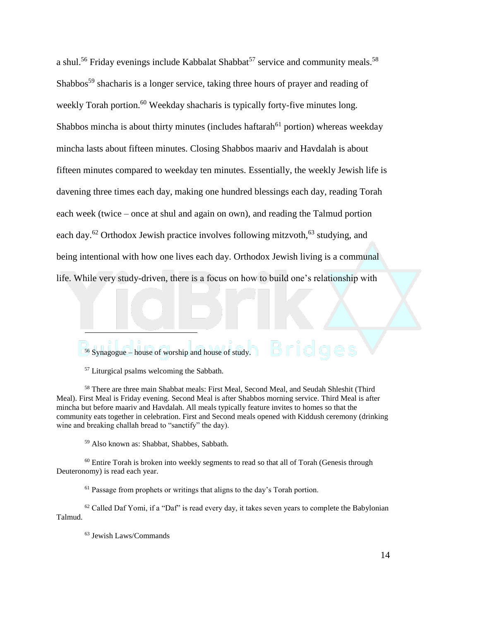a shul.<sup>56</sup> Friday evenings include Kabbalat Shabbat<sup>57</sup> service and community meals.<sup>58</sup> Shabbos<sup>59</sup> shacharis is a longer service, taking three hours of prayer and reading of weekly Torah portion.<sup>60</sup> Weekday shacharis is typically forty-five minutes long. Shabbos mincha is about thirty minutes (includes haftarah<sup> $61$ </sup> portion) whereas weekday mincha lasts about fifteen minutes. Closing Shabbos maariv and Havdalah is about fifteen minutes compared to weekday ten minutes. Essentially, the weekly Jewish life is davening three times each day, making one hundred blessings each day, reading Torah each week (twice – once at shul and again on own), and reading the Talmud portion each day.<sup>62</sup> Orthodox Jewish practice involves following mitzvoth,<sup>63</sup> studying, and being intentional with how one lives each day. Orthodox Jewish living is a communal life. While very study-driven, there is a focus on how to build one's relationship with

<sup>56</sup> Synagogue – house of worship and house of study.

<sup>57</sup> Liturgical psalms welcoming the Sabbath.

 $\overline{a}$ 

<sup>58</sup> There are three main Shabbat meals: First Meal, Second Meal, and Seudah Shleshit (Third Meal). First Meal is Friday evening. Second Meal is after Shabbos morning service. Third Meal is after mincha but before maariv and Havdalah. All meals typically feature invites to homes so that the community eats together in celebration. First and Second meals opened with Kiddush ceremony (drinking wine and breaking challah bread to "sanctify" the day).

<sup>59</sup> Also known as: Shabbat, Shabbes, Sabbath.

<sup>60</sup> Entire Torah is broken into weekly segments to read so that all of Torah (Genesis through Deuteronomy) is read each year.

 $61$  Passage from prophets or writings that aligns to the day's Torah portion.

<sup>62</sup> Called Daf Yomi, if a "Daf" is read every day, it takes seven years to complete the Babylonian Talmud.

<sup>63</sup> Jewish Laws/Commands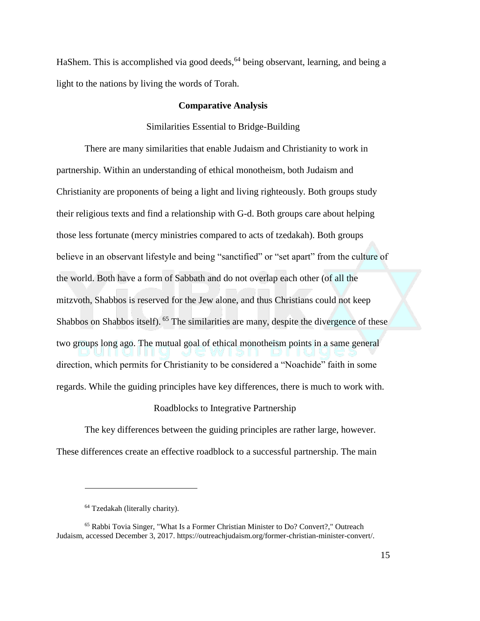HaShem. This is accomplished via good deeds, <sup>64</sup> being observant, learning, and being a light to the nations by living the words of Torah.

### **Comparative Analysis**

### Similarities Essential to Bridge-Building

There are many similarities that enable Judaism and Christianity to work in partnership. Within an understanding of ethical monotheism, both Judaism and Christianity are proponents of being a light and living righteously. Both groups study their religious texts and find a relationship with G-d. Both groups care about helping those less fortunate (mercy ministries compared to acts of tzedakah). Both groups believe in an observant lifestyle and being "sanctified" or "set apart" from the culture of the world. Both have a form of Sabbath and do not overlap each other (of all the mitzvoth, Shabbos is reserved for the Jew alone, and thus Christians could not keep Shabbos on Shabbos itself). <sup>65</sup> The similarities are many, despite the divergence of these two groups long ago. The mutual goal of ethical monotheism points in a same general direction, which permits for Christianity to be considered a "Noachide" faith in some regards. While the guiding principles have key differences, there is much to work with.

Roadblocks to Integrative Partnership

The key differences between the guiding principles are rather large, however. These differences create an effective roadblock to a successful partnership. The main

<sup>64</sup> Tzedakah (literally charity).

<sup>65</sup> Rabbi Tovia Singer, "What Is a Former Christian Minister to Do? Convert?," Outreach Judaism, accessed December 3, 2017. https://outreachjudaism.org/former-christian-minister-convert/.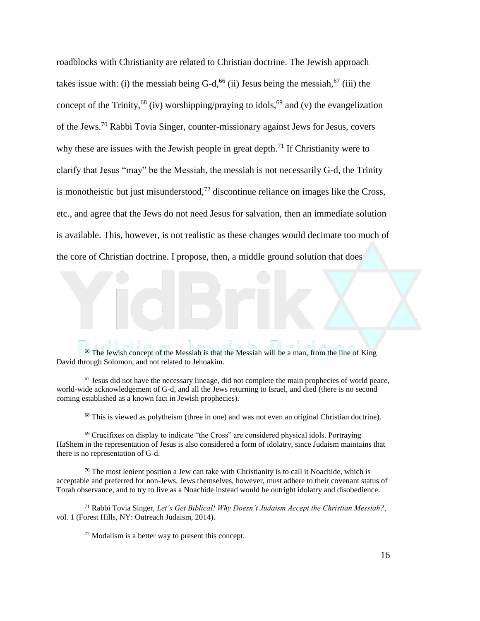roadblocks with Christianity are related to Christian doctrine. The Jewish approach takes issue with: (i) the messiah being G-d,  $66$  (ii) Jesus being the messiah,  $67$  (iii) the concept of the Trinity,<sup>68</sup> (iv) worshipping/praying to idols,<sup>69</sup> and (v) the evangelization of the Jews.<sup>70</sup> Rabbi Tovia Singer, counter-missionary against Jews for Jesus, covers why these are issues with the Jewish people in great depth.<sup>71</sup> If Christianity were to clarify that Jesus "may" be the Messiah, the messiah is not necessarily G-d, the Trinity is monotheistic but just misunderstood,<sup>72</sup> discontinue reliance on images like the Cross, etc., and agree that the Jews do not need Jesus for salvation, then an immediate solution is available. This, however, is not realistic as these changes would decimate too much of the core of Christian doctrine. I propose, then, a middle ground solution that does

<sup>66</sup> The Jewish concept of the Messiah is that the Messiah will be a man, from the line of King David through Solomon, and not related to Jehoakim.

 $<sup>67</sup>$  Jesus did not have the necessary lineage, did not complete the main prophecies of world peace,</sup> world-wide acknowledgement of G-d, and all the Jews returning to Israel, and died (there is no second coming established as a known fact in Jewish prophecies).

<sup>68</sup> This is viewed as polytheism (three in one) and was not even an original Christian doctrine).

<sup>69</sup> Crucifixes on display to indicate "the Cross" are considered physical idols. Portraying HaShem in the representation of Jesus is also considered a form of idolatry, since Judaism maintains that there is no representation of G-d.

 $70$  The most lenient position a Jew can take with Christianity is to call it Noachide, which is acceptable and preferred for non-Jews. Jews themselves, however, must adhere to their covenant status of Torah observance, and to try to live as a Noachide instead would be outright idolatry and disobedience.

<sup>71</sup> Rabbi Tovia Singer, *Let's Get Biblical! Why Doesn't Judaism Accept the Christian Messiah?*, vol. 1 (Forest Hills, NY: Outreach Judaism, 2014).

 $72$  Modalism is a better way to present this concept.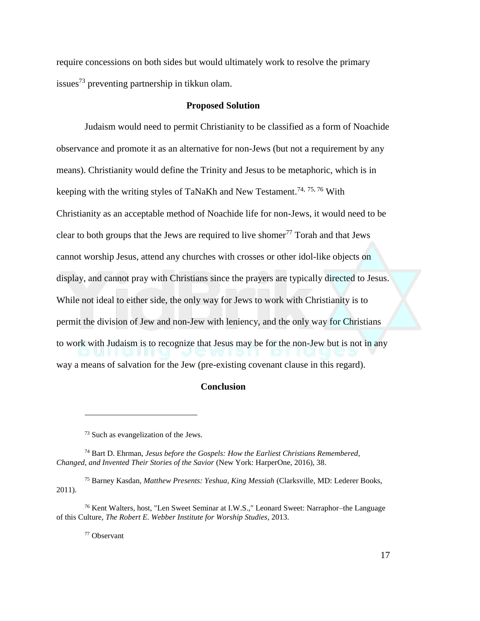require concessions on both sides but would ultimately work to resolve the primary issues<sup>73</sup> preventing partnership in tikkun olam.

### **Proposed Solution**

Judaism would need to permit Christianity to be classified as a form of Noachide observance and promote it as an alternative for non-Jews (but not a requirement by any means). Christianity would define the Trinity and Jesus to be metaphoric, which is in keeping with the writing styles of TaNaKh and New Testament.<sup>74, 75, 76</sup> With Christianity as an acceptable method of Noachide life for non-Jews, it would need to be clear to both groups that the Jews are required to live shomer<sup>77</sup> Torah and that Jews cannot worship Jesus, attend any churches with crosses or other idol-like objects on display, and cannot pray with Christians since the prayers are typically directed to Jesus. While not ideal to either side, the only way for Jews to work with Christianity is to permit the division of Jew and non-Jew with leniency, and the only way for Christians to work with Judaism is to recognize that Jesus may be for the non-Jew but is not in any way a means of salvation for the Jew (pre-existing covenant clause in this regard).

### **Conclusion**

<sup>75</sup> Barney Kasdan, *Matthew Presents: Yeshua, King Messiah* (Clarksville, MD: Lederer Books, 2011).

<sup>76</sup> Kent Walters, host, "Len Sweet Seminar at I.W.S.," Leonard Sweet: Narraphor–the Language of this Culture, *The Robert E. Webber Institute for Worship Studies*, 2013.

<sup>77</sup> Observant

<sup>73</sup> Such as evangelization of the Jews.

<sup>74</sup> Bart D. Ehrman, *Jesus before the Gospels: How the Earliest Christians Remembered, Changed, and Invented Their Stories of the Savior* (New York: HarperOne, 2016), 38.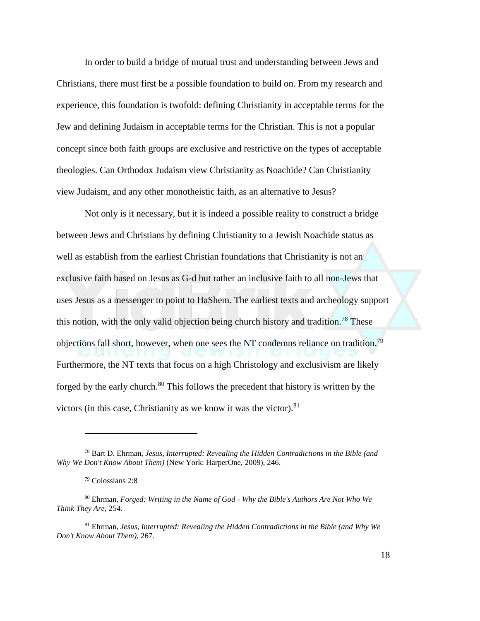In order to build a bridge of mutual trust and understanding between Jews and Christians, there must first be a possible foundation to build on. From my research and experience, this foundation is twofold: defining Christianity in acceptable terms for the Jew and defining Judaism in acceptable terms for the Christian. This is not a popular concept since both faith groups are exclusive and restrictive on the types of acceptable theologies. Can Orthodox Judaism view Christianity as Noachide? Can Christianity view Judaism, and any other monotheistic faith, as an alternative to Jesus?

Not only is it necessary, but it is indeed a possible reality to construct a bridge between Jews and Christians by defining Christianity to a Jewish Noachide status as well as establish from the earliest Christian foundations that Christianity is not an exclusive faith based on Jesus as G-d but rather an inclusive faith to all non-Jews that uses Jesus as a messenger to point to HaShem. The earliest texts and archeology support this notion, with the only valid objection being church history and tradition.<sup>78</sup> These objections fall short, however, when one sees the NT condemns reliance on tradition.<sup>79</sup> Furthermore, the NT texts that focus on a high Christology and exclusivism are likely forged by the early church.<sup>80</sup> This follows the precedent that history is written by the victors (in this case, Christianity as we know it was the victor). $81$ 

<sup>78</sup> Bart D. Ehrman, *Jesus, Interrupted: Revealing the Hidden Contradictions in the Bible (and Why We Don't Know About Them)* (New York: HarperOne, 2009), 246.

<sup>79</sup> Colossians 2:8

<sup>80</sup> Ehrman, *Forged: Writing in the Name of God - Why the Bible's Authors Are Not Who We Think They Are*, 254.

<sup>81</sup> Ehrman, *Jesus, Interrupted: Revealing the Hidden Contradictions in the Bible (and Why We Don't Know About Them)*, 267.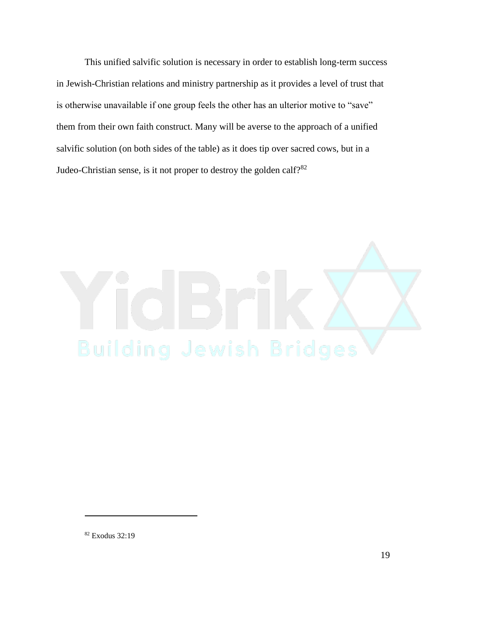This unified salvific solution is necessary in order to establish long-term success in Jewish-Christian relations and ministry partnership as it provides a level of trust that is otherwise unavailable if one group feels the other has an ulterior motive to "save" them from their own faith construct. Many will be averse to the approach of a unified salvific solution (on both sides of the table) as it does tip over sacred cows, but in a Judeo-Christian sense, is it not proper to destroy the golden calf?<sup>82</sup>



<sup>82</sup> Exodus 32:19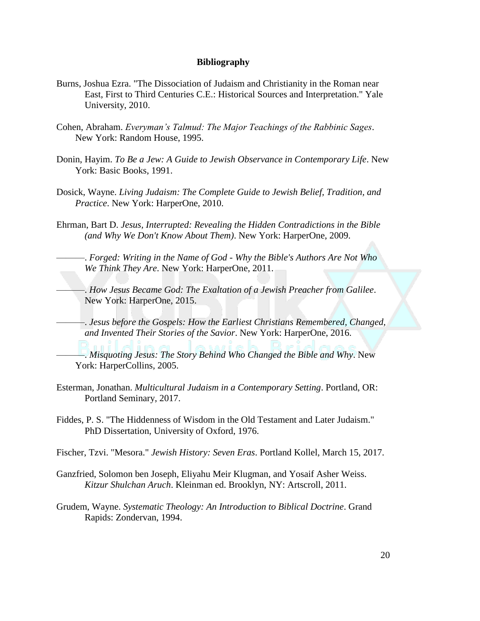### **Bibliography**

- Burns, Joshua Ezra. "The Dissociation of Judaism and Christianity in the Roman near East, First to Third Centuries C.E.: Historical Sources and Interpretation." Yale University, 2010.
- Cohen, Abraham. *Everyman's Talmud: The Major Teachings of the Rabbinic Sages*. New York: Random House, 1995.
- Donin, Hayim. *To Be a Jew: A Guide to Jewish Observance in Contemporary Life*. New York: Basic Books, 1991.
- Dosick, Wayne. *Living Judaism: The Complete Guide to Jewish Belief, Tradition, and Practice*. New York: HarperOne, 2010.
- Ehrman, Bart D. *Jesus, Interrupted: Revealing the Hidden Contradictions in the Bible (and Why We Don't Know About Them)*. New York: HarperOne, 2009.
	- ———. *Forged: Writing in the Name of God - Why the Bible's Authors Are Not Who We Think They Are*. New York: HarperOne, 2011.
	- ———. *How Jesus Became God: The Exaltation of a Jewish Preacher from Galilee*. New York: HarperOne, 2015.
	- ———. *Jesus before the Gospels: How the Earliest Christians Remembered, Changed, and Invented Their Stories of the Savior*. New York: HarperOne, 2016.
		- ———. *Misquoting Jesus: The Story Behind Who Changed the Bible and Why*. New York: HarperCollins, 2005.
- Esterman, Jonathan. *Multicultural Judaism in a Contemporary Setting*. Portland, OR: Portland Seminary, 2017.
- Fiddes, P. S. "The Hiddenness of Wisdom in the Old Testament and Later Judaism." PhD Dissertation, University of Oxford, 1976.
- Fischer, Tzvi. "Mesora." *Jewish History: Seven Eras*. Portland Kollel, March 15, 2017.
- Ganzfried, Solomon ben Joseph, Eliyahu Meir Klugman, and Yosaif Asher Weiss. *Kitzur Shulchan Aruch*. Kleinman ed. Brooklyn, NY: Artscroll, 2011.
- Grudem, Wayne. *Systematic Theology: An Introduction to Biblical Doctrine*. Grand Rapids: Zondervan, 1994.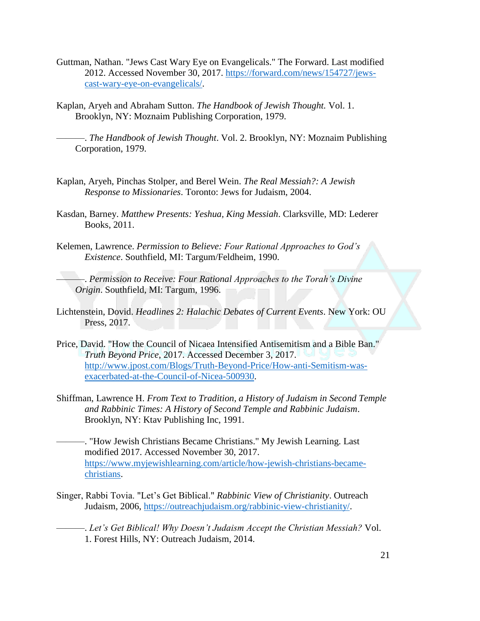- Guttman, Nathan. "Jews Cast Wary Eye on Evangelicals." The Forward. Last modified 2012. Accessed November 30, 2017. [https://forward.com/news/154727/jews](https://forward.com/news/154727/jews-cast-wary-eye-on-evangelicals/)[cast-wary-eye-on-evangelicals/.](https://forward.com/news/154727/jews-cast-wary-eye-on-evangelicals/)
- Kaplan, Aryeh and Abraham Sutton. *The Handbook of Jewish Thought.* Vol. 1. Brooklyn, NY: Moznaim Publishing Corporation, 1979.

———. *The Handbook of Jewish Thought*. Vol. 2. Brooklyn, NY: Moznaim Publishing Corporation, 1979.

- Kaplan, Aryeh, Pinchas Stolper, and Berel Wein. *The Real Messiah?: A Jewish Response to Missionaries*. Toronto: Jews for Judaism, 2004.
- Kasdan, Barney. *Matthew Presents: Yeshua, King Messiah*. Clarksville, MD: Lederer Books, 2011.
- Kelemen, Lawrence. *Permission to Believe: Four Rational Approaches to God's Existence*. Southfield, MI: Targum/Feldheim, 1990.

———. *Permission to Receive: Four Rational Approaches to the Torah's Divine Origin*. Southfield, MI: Targum, 1996.

- Lichtenstein, Dovid. *Headlines 2: Halachic Debates of Current Events*. New York: OU Press, 2017.
- Price, David. "How the Council of Nicaea Intensified Antisemitism and a Bible Ban." *Truth Beyond Price*, 2017. Accessed December 3, 2017. [http://www.jpost.com/Blogs/Truth-Beyond-Price/How-anti-Semitism-was](http://www.jpost.com/Blogs/Truth-Beyond-Price/How-anti-Semitism-was-exacerbated-at-the-Council-of-Nicea-500930)[exacerbated-at-the-Council-of-Nicea-500930.](http://www.jpost.com/Blogs/Truth-Beyond-Price/How-anti-Semitism-was-exacerbated-at-the-Council-of-Nicea-500930)
- Shiffman, Lawrence H. *From Text to Tradition, a History of Judaism in Second Temple and Rabbinic Times: A History of Second Temple and Rabbinic Judaism*. Brooklyn, NY: Ktav Publishing Inc, 1991.
- ———. "How Jewish Christians Became Christians." My Jewish Learning. Last modified 2017. Accessed November 30, 2017. [https://www.myjewishlearning.com/article/how-jewish-christians-became](https://www.myjewishlearning.com/article/how-jewish-christians-became-christians)[christians.](https://www.myjewishlearning.com/article/how-jewish-christians-became-christians)
- Singer, Rabbi Tovia. "Let's Get Biblical." *Rabbinic View of Christianity*. Outreach Judaism, 2006, [https://outreachjudaism.org/rabbinic-view-christianity/.](https://outreachjudaism.org/rabbinic-view-christianity/)
	- -. Let's Get Biblical! Why Doesn't Judaism Accept the Christian Messiah? Vol. 1. Forest Hills, NY: Outreach Judaism, 2014.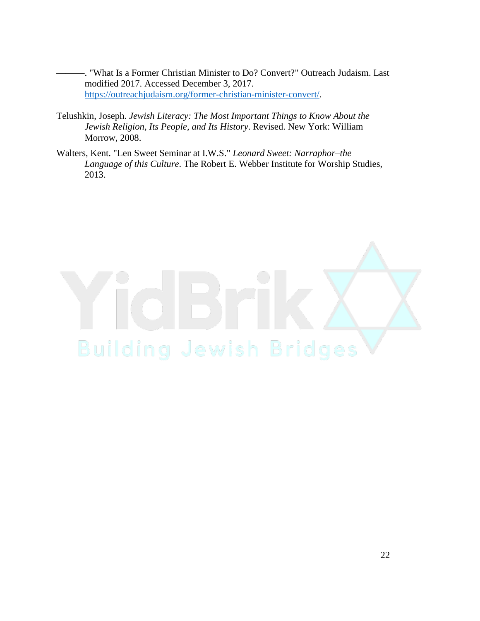-. "What Is a Former Christian Minister to Do? Convert?" Outreach Judaism. Last modified 2017. Accessed December 3, 2017. [https://outreachjudaism.org/former-christian-minister-convert/.](https://outreachjudaism.org/former-christian-minister-convert/)

- Telushkin, Joseph. *Jewish Literacy: The Most Important Things to Know About the Jewish Religion, Its People, and Its History*. Revised. New York: William Morrow, 2008.
- Walters, Kent. "Len Sweet Seminar at I.W.S." *Leonard Sweet: Narraphor–the Language of this Culture*. The Robert E. Webber Institute for Worship Studies, 2013.

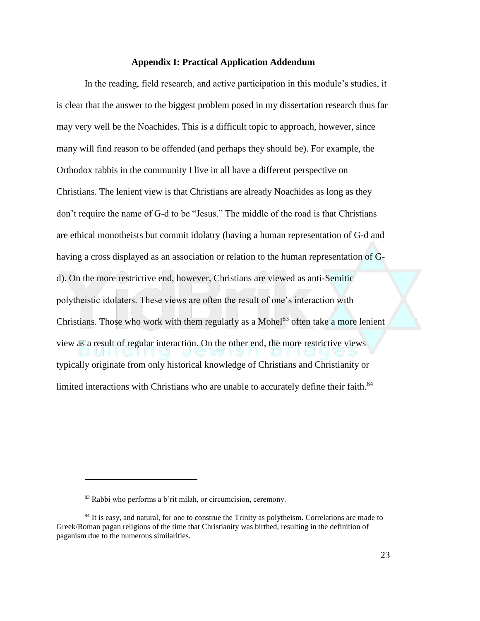### **Appendix I: Practical Application Addendum**

In the reading, field research, and active participation in this module's studies, it is clear that the answer to the biggest problem posed in my dissertation research thus far may very well be the Noachides. This is a difficult topic to approach, however, since many will find reason to be offended (and perhaps they should be). For example, the Orthodox rabbis in the community I live in all have a different perspective on Christians. The lenient view is that Christians are already Noachides as long as they don't require the name of G-d to be "Jesus." The middle of the road is that Christians are ethical monotheists but commit idolatry (having a human representation of G-d and having a cross displayed as an association or relation to the human representation of Gd). On the more restrictive end, however, Christians are viewed as anti-Semitic polytheistic idolaters. These views are often the result of one's interaction with Christians. Those who work with them regularly as a Mohel $83$  often take a more lenient view as a result of regular interaction. On the other end, the more restrictive views typically originate from only historical knowledge of Christians and Christianity or limited interactions with Christians who are unable to accurately define their faith.<sup>84</sup>

<sup>83</sup> Rabbi who performs a b'rit milah, or circumcision, ceremony.

<sup>&</sup>lt;sup>84</sup> It is easy, and natural, for one to construe the Trinity as polytheism. Correlations are made to Greek/Roman pagan religions of the time that Christianity was birthed, resulting in the definition of paganism due to the numerous similarities.